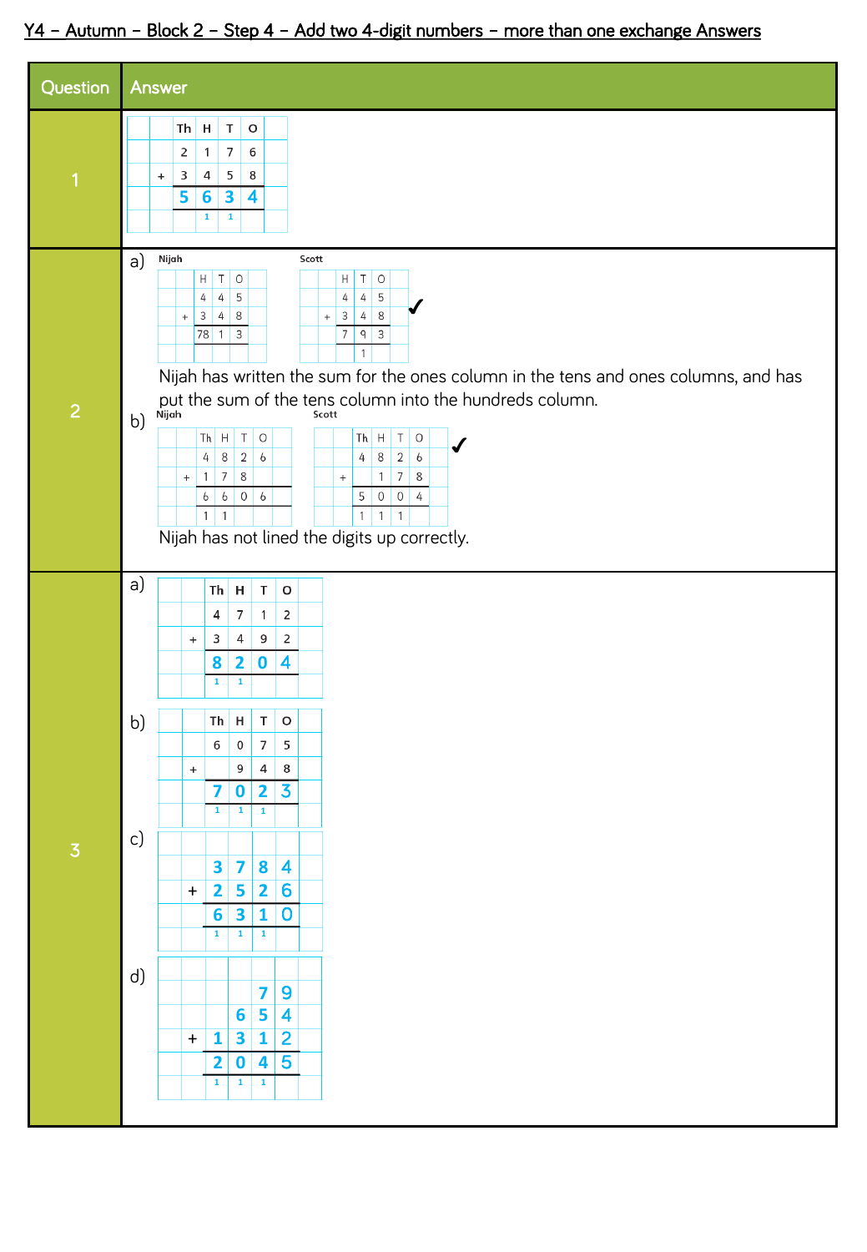## Y4 – Autumn – Block 2 – Step 4 – Add two 4-digit numbers – more than one exchange Answers